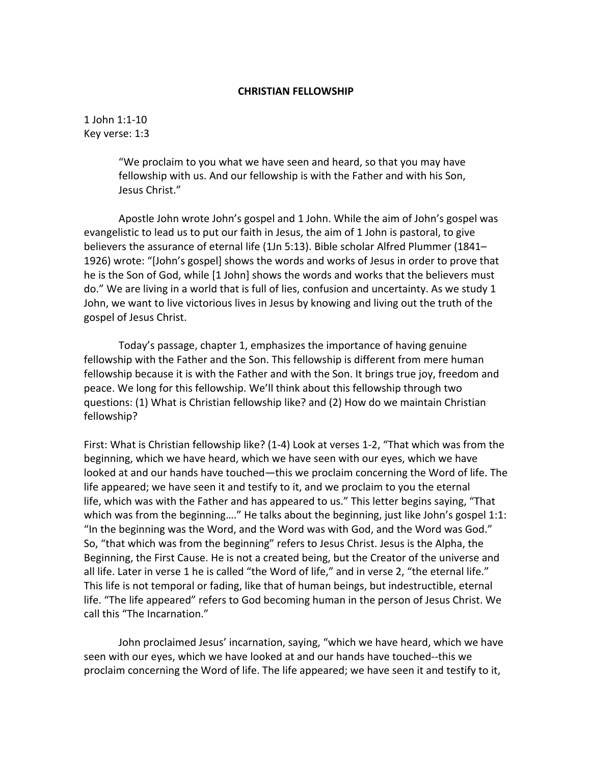## **CHRISTIAN FELLOWSHIP**

1 John 1:1-10 Key verse: 1:3

> "We proclaim to you what we have seen and heard, so that you may have fellowship with us. And our fellowship is with the Father and with his Son, Jesus Christ."

Apostle John wrote John's gospel and 1 John. While the aim of John's gospel was evangelistic to lead us to put our faith in Jesus, the aim of 1 John is pastoral, to give believers the assurance of eternal life (1Jn 5:13). Bible scholar Alfred Plummer (1841– 1926) wrote: "[John's gospel] shows the words and works of Jesus in order to prove that he is the Son of God, while [1 John] shows the words and works that the believers must do." We are living in a world that is full of lies, confusion and uncertainty. As we study 1 John, we want to live victorious lives in Jesus by knowing and living out the truth of the gospel of Jesus Christ.

Today's passage, chapter 1, emphasizes the importance of having genuine fellowship with the Father and the Son. This fellowship is different from mere human fellowship because it is with the Father and with the Son. It brings true joy, freedom and peace. We long for this fellowship. We'll think about this fellowship through two questions: (1) What is Christian fellowship like? and (2) How do we maintain Christian fellowship?

First: What is Christian fellowship like? (1-4) Look at verses 1-2, "That which was from the beginning, which we have heard, which we have seen with our eyes, which we have looked at and our hands have touched—this we proclaim concerning the Word of life. The life appeared; we have seen it and testify to it, and we proclaim to you the eternal life, which was with the Father and has appeared to us." This letter begins saying, "That which was from the beginning...." He talks about the beginning, just like John's gospel 1:1: "In the beginning was the Word, and the Word was with God, and the Word was God." So, "that which was from the beginning" refers to Jesus Christ. Jesus is the Alpha, the Beginning, the First Cause. He is not a created being, but the Creator of the universe and all life. Later in verse 1 he is called "the Word of life," and in verse 2, "the eternal life." This life is not temporal or fading, like that of human beings, but indestructible, eternal life. "The life appeared" refers to God becoming human in the person of Jesus Christ. We call this "The Incarnation."

John proclaimed Jesus' incarnation, saying, "which we have heard, which we have seen with our eyes, which we have looked at and our hands have touched--this we proclaim concerning the Word of life. The life appeared; we have seen it and testify to it,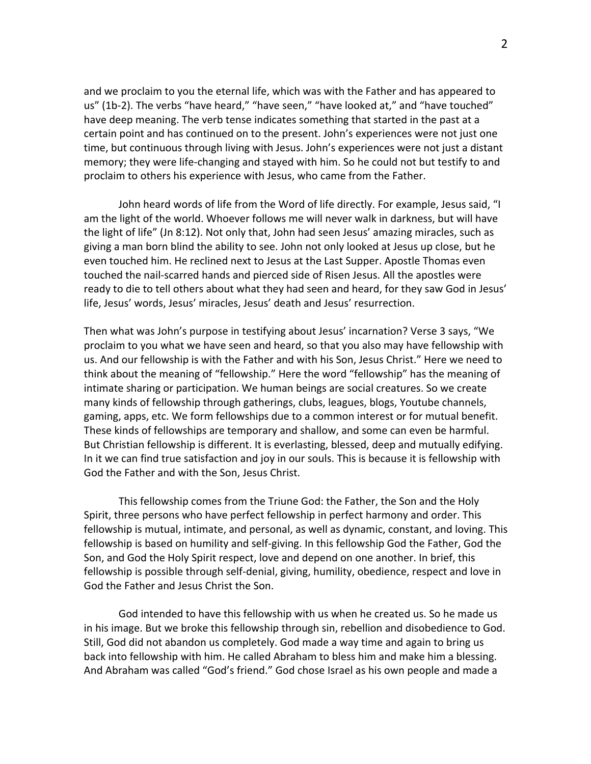and we proclaim to you the eternal life, which was with the Father and has appeared to us" (1b-2). The verbs "have heard," "have seen," "have looked at," and "have touched" have deep meaning. The verb tense indicates something that started in the past at a certain point and has continued on to the present. John's experiences were not just one time, but continuous through living with Jesus. John's experiences were not just a distant memory; they were life-changing and stayed with him. So he could not but testify to and proclaim to others his experience with Jesus, who came from the Father.

John heard words of life from the Word of life directly. For example, Jesus said, "I am the light of the world. Whoever follows me will never walk in darkness, but will have the light of life" (Jn 8:12). Not only that, John had seen Jesus' amazing miracles, such as giving a man born blind the ability to see. John not only looked at Jesus up close, but he even touched him. He reclined next to Jesus at the Last Supper. Apostle Thomas even touched the nail-scarred hands and pierced side of Risen Jesus. All the apostles were ready to die to tell others about what they had seen and heard, for they saw God in Jesus' life, Jesus' words, Jesus' miracles, Jesus' death and Jesus' resurrection.

Then what was John's purpose in testifying about Jesus' incarnation? Verse 3 says, "We proclaim to you what we have seen and heard, so that you also may have fellowship with us. And our fellowship is with the Father and with his Son, Jesus Christ." Here we need to think about the meaning of "fellowship." Here the word "fellowship" has the meaning of intimate sharing or participation. We human beings are social creatures. So we create many kinds of fellowship through gatherings, clubs, leagues, blogs, Youtube channels, gaming, apps, etc. We form fellowships due to a common interest or for mutual benefit. These kinds of fellowships are temporary and shallow, and some can even be harmful. But Christian fellowship is different. It is everlasting, blessed, deep and mutually edifying. In it we can find true satisfaction and joy in our souls. This is because it is fellowship with God the Father and with the Son, Jesus Christ.

This fellowship comes from the Triune God: the Father, the Son and the Holy Spirit, three persons who have perfect fellowship in perfect harmony and order. This fellowship is mutual, intimate, and personal, as well as dynamic, constant, and loving. This fellowship is based on humility and self-giving. In this fellowship God the Father, God the Son, and God the Holy Spirit respect, love and depend on one another. In brief, this fellowship is possible through self-denial, giving, humility, obedience, respect and love in God the Father and Jesus Christ the Son.

God intended to have this fellowship with us when he created us. So he made us in his image. But we broke this fellowship through sin, rebellion and disobedience to God. Still, God did not abandon us completely. God made a way time and again to bring us back into fellowship with him. He called Abraham to bless him and make him a blessing. And Abraham was called "God's friend." God chose Israel as his own people and made a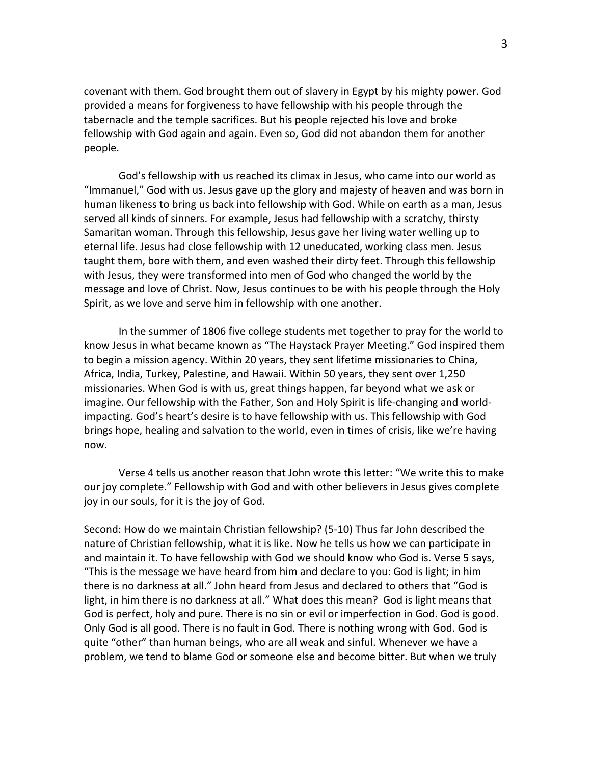covenant with them. God brought them out of slavery in Egypt by his mighty power. God provided a means for forgiveness to have fellowship with his people through the tabernacle and the temple sacrifices. But his people rejected his love and broke fellowship with God again and again. Even so, God did not abandon them for another people.

God's fellowship with us reached its climax in Jesus, who came into our world as "Immanuel," God with us. Jesus gave up the glory and majesty of heaven and was born in human likeness to bring us back into fellowship with God. While on earth as a man, Jesus served all kinds of sinners. For example, Jesus had fellowship with a scratchy, thirsty Samaritan woman. Through this fellowship, Jesus gave her living water welling up to eternal life. Jesus had close fellowship with 12 uneducated, working class men. Jesus taught them, bore with them, and even washed their dirty feet. Through this fellowship with Jesus, they were transformed into men of God who changed the world by the message and love of Christ. Now, Jesus continues to be with his people through the Holy Spirit, as we love and serve him in fellowship with one another.

In the summer of 1806 five college students met together to pray for the world to know Jesus in what became known as "The Haystack Prayer Meeting." God inspired them to begin a mission agency. Within 20 years, they sent lifetime missionaries to China, Africa, India, Turkey, Palestine, and Hawaii. Within 50 years, they sent over 1,250 missionaries. When God is with us, great things happen, far beyond what we ask or imagine. Our fellowship with the Father, Son and Holy Spirit is life-changing and worldimpacting. God's heart's desire is to have fellowship with us. This fellowship with God brings hope, healing and salvation to the world, even in times of crisis, like we're having now.

Verse 4 tells us another reason that John wrote this letter: "We write this to make our joy complete." Fellowship with God and with other believers in Jesus gives complete joy in our souls, for it is the joy of God.

Second: How do we maintain Christian fellowship? (5-10) Thus far John described the nature of Christian fellowship, what it is like. Now he tells us how we can participate in and maintain it. To have fellowship with God we should know who God is. Verse 5 says, "This is the message we have heard from him and declare to you: God is light; in him there is no darkness at all." John heard from Jesus and declared to others that "God is light, in him there is no darkness at all." What does this mean? God is light means that God is perfect, holy and pure. There is no sin or evil or imperfection in God. God is good. Only God is all good. There is no fault in God. There is nothing wrong with God. God is quite "other" than human beings, who are all weak and sinful. Whenever we have a problem, we tend to blame God or someone else and become bitter. But when we truly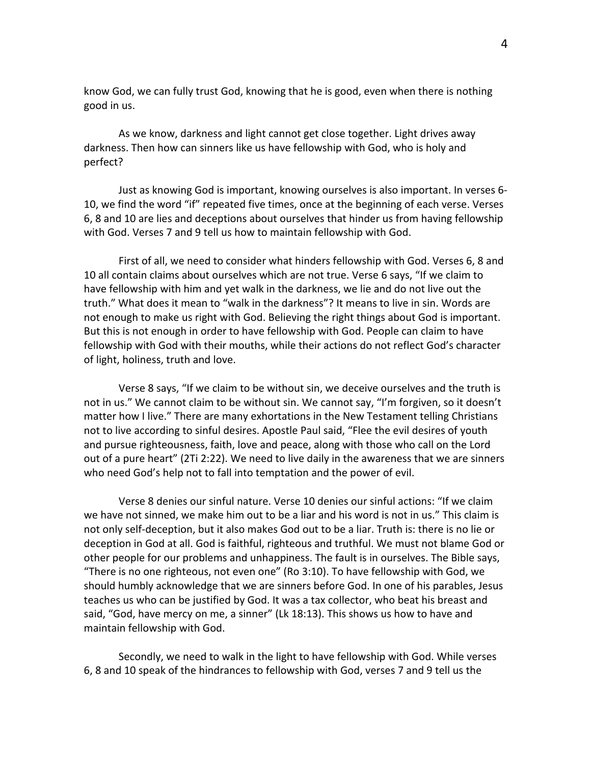know God, we can fully trust God, knowing that he is good, even when there is nothing good in us.

As we know, darkness and light cannot get close together. Light drives away darkness. Then how can sinners like us have fellowship with God, who is holy and perfect?

Just as knowing God is important, knowing ourselves is also important. In verses 6- 10, we find the word "if" repeated five times, once at the beginning of each verse. Verses 6, 8 and 10 are lies and deceptions about ourselves that hinder us from having fellowship with God. Verses 7 and 9 tell us how to maintain fellowship with God.

First of all, we need to consider what hinders fellowship with God. Verses 6, 8 and 10 all contain claims about ourselves which are not true. Verse 6 says, "If we claim to have fellowship with him and yet walk in the darkness, we lie and do not live out the truth." What does it mean to "walk in the darkness"? It means to live in sin. Words are not enough to make us right with God. Believing the right things about God is important. But this is not enough in order to have fellowship with God. People can claim to have fellowship with God with their mouths, while their actions do not reflect God's character of light, holiness, truth and love.

Verse 8 says, "If we claim to be without sin, we deceive ourselves and the truth is not in us." We cannot claim to be without sin. We cannot say, "I'm forgiven, so it doesn't matter how I live." There are many exhortations in the New Testament telling Christians not to live according to sinful desires. Apostle Paul said, "Flee the evil desires of youth and pursue righteousness, faith, love and peace, along with those who call on the Lord out of a pure heart" (2Ti 2:22). We need to live daily in the awareness that we are sinners who need God's help not to fall into temptation and the power of evil.

Verse 8 denies our sinful nature. Verse 10 denies our sinful actions: "If we claim we have not sinned, we make him out to be a liar and his word is not in us." This claim is not only self-deception, but it also makes God out to be a liar. Truth is: there is no lie or deception in God at all. God is faithful, righteous and truthful. We must not blame God or other people for our problems and unhappiness. The fault is in ourselves. The Bible says, "There is no one righteous, not even one" (Ro 3:10). To have fellowship with God, we should humbly acknowledge that we are sinners before God. In one of his parables, Jesus teaches us who can be justified by God. It was a tax collector, who beat his breast and said, "God, have mercy on me, a sinner" (Lk 18:13). This shows us how to have and maintain fellowship with God.

Secondly, we need to walk in the light to have fellowship with God. While verses 6, 8 and 10 speak of the hindrances to fellowship with God, verses 7 and 9 tell us the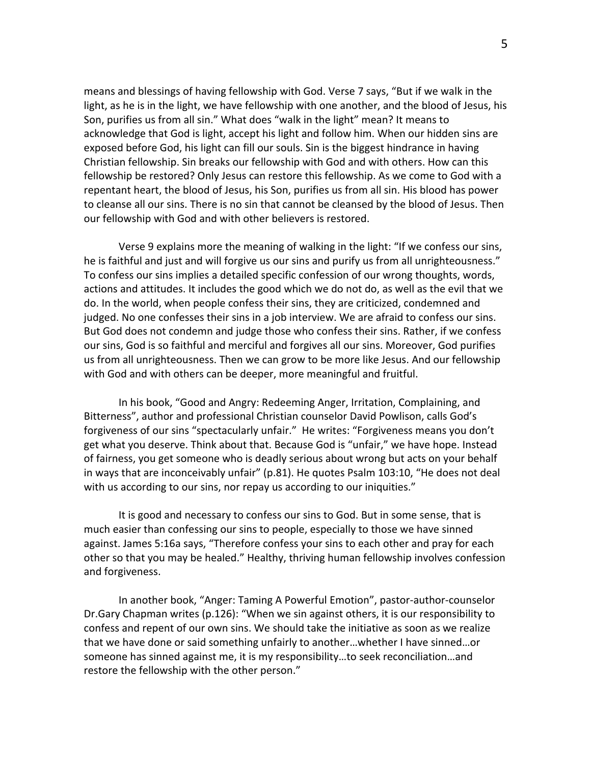means and blessings of having fellowship with God. Verse 7 says, "But if we walk in the light, as he is in the light, we have fellowship with one another, and the blood of Jesus, his Son, purifies us from all sin." What does "walk in the light" mean? It means to acknowledge that God is light, accept his light and follow him. When our hidden sins are exposed before God, his light can fill our souls. Sin is the biggest hindrance in having Christian fellowship. Sin breaks our fellowship with God and with others. How can this fellowship be restored? Only Jesus can restore this fellowship. As we come to God with a repentant heart, the blood of Jesus, his Son, purifies us from all sin. His blood has power to cleanse all our sins. There is no sin that cannot be cleansed by the blood of Jesus. Then our fellowship with God and with other believers is restored.

Verse 9 explains more the meaning of walking in the light: "If we confess our sins, he is faithful and just and will forgive us our sins and purify us from all unrighteousness." To confess our sins implies a detailed specific confession of our wrong thoughts, words, actions and attitudes. It includes the good which we do not do, as well as the evil that we do. In the world, when people confess their sins, they are criticized, condemned and judged. No one confesses their sins in a job interview. We are afraid to confess our sins. But God does not condemn and judge those who confess their sins. Rather, if we confess our sins, God is so faithful and merciful and forgives all our sins. Moreover, God purifies us from all unrighteousness. Then we can grow to be more like Jesus. And our fellowship with God and with others can be deeper, more meaningful and fruitful.

In his book, "Good and Angry: Redeeming Anger, Irritation, Complaining, and Bitterness", author and professional Christian counselor David Powlison, calls God's forgiveness of our sins "spectacularly unfair." He writes: "Forgiveness means you don't get what you deserve. Think about that. Because God is "unfair," we have hope. Instead of fairness, you get someone who is deadly serious about wrong but acts on your behalf in ways that are inconceivably unfair" (p.81). He quotes Psalm 103:10, "He does not deal with us according to our sins, nor repay us according to our iniquities."

It is good and necessary to confess our sins to God. But in some sense, that is much easier than confessing our sins to people, especially to those we have sinned against. James 5:16a says, "Therefore confess your sins to each other and pray for each other so that you may be healed." Healthy, thriving human fellowship involves confession and forgiveness.

In another book, "Anger: Taming A Powerful Emotion", pastor-author-counselor Dr.Gary Chapman writes (p.126): "When we sin against others, it is our responsibility to confess and repent of our own sins. We should take the initiative as soon as we realize that we have done or said something unfairly to another…whether I have sinned…or someone has sinned against me, it is my responsibility…to seek reconciliation…and restore the fellowship with the other person."